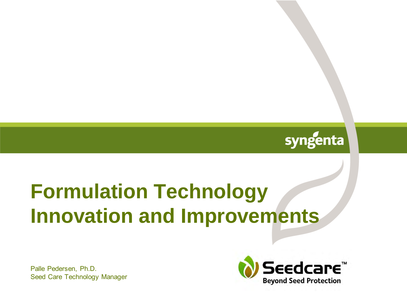

# **Formulation Technology Innovation and Improvements**

Palle Pedersen, Ph.D. Seed Care Technology Manager

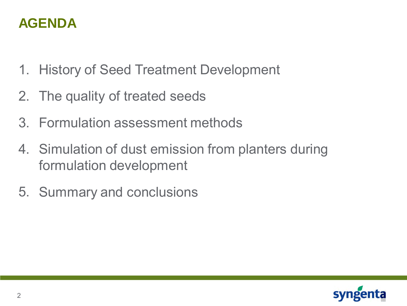### **AGENDA**

- 1. History of Seed Treatment Development
- 2. The quality of treated seeds
- 3. Formulation assessment methods
- 4. Simulation of dust emission from planters during formulation development
- 5. Summary and conclusions

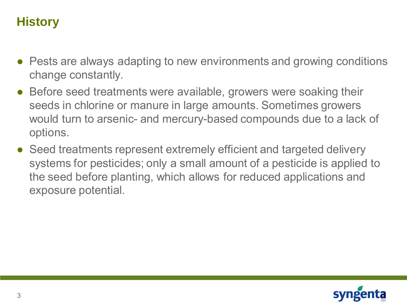### **History**

- Pests are always adapting to new environments and growing conditions change constantly.
- Before seed treatments were available, growers were soaking their seeds in chlorine or manure in large amounts. Sometimes growers would turn to arsenic- and mercury-based compounds due to a lack of options.
- Seed treatments represent extremely efficient and targeted delivery systems for pesticides; only a small amount of a pesticide is applied to the seed before planting, which allows for reduced applications and exposure potential.

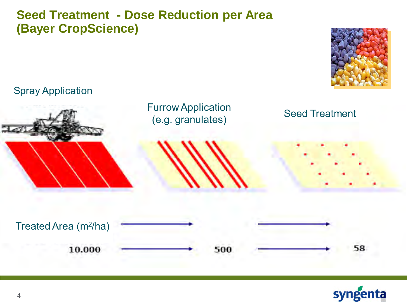### **Seed Treatment - Dose Reduction per Area (Bayer CropScience)**



#### Spray Application





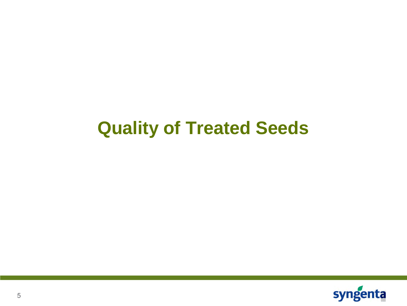# **Quality of Treated Seeds**

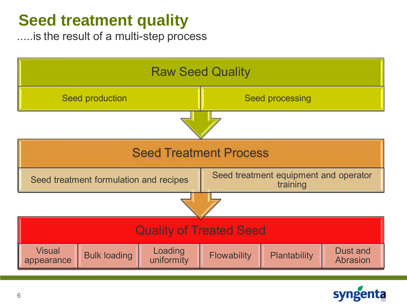# **Seed treatment quality**

.....is the result of a multi-step process



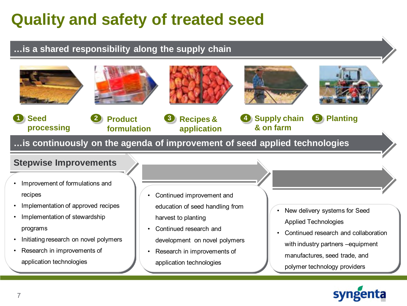# **Quality and safety of treated seed**

#### **…is a shared responsibility along the supply chain**











**& on farm**

**4** 

**Supply chain 5 Planting** 



**Seed processing** **Product formulation**

**…is continuously on the agenda of improvement of seed applied technologies**

#### **Stepwise Improvements**

- Improvement of formulations and recipes
- Implementation of approved recipes
- Implementation of stewardship programs
- Initiating research on novel polymers
- Research in improvements of application technologies
- Continued improvement and education of seed handling from harvest to planting
- Continued research and development on novel polymers
- Research in improvements of application technologies
- New delivery systems for Seed Applied Technologies
- Continued research and collaboration with industry partners –equipment manufactures, seed trade, and polymer technology providers

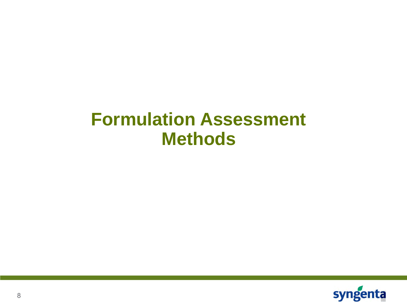# **Formulation Assessment Methods**

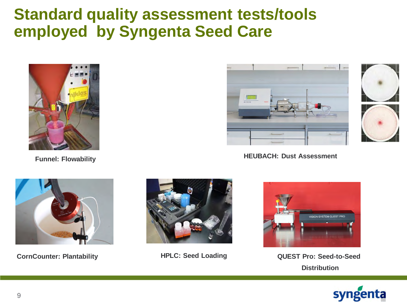## **Standard quality assessment tests/tools employed by Syngenta Seed Care**



**Funnel: Flowability**





**HEUBACH: Dust Assessment**







**CornCounter: Plantability <b>HPLC: Seed Loading QUEST Pro: Seed-to-Seed Distribution**

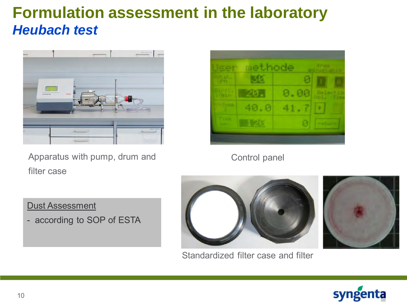## **Formulation assessment in the laboratory** *Heubach test*



Apparatus with pump, drum and filter case



Control panel



Standardized filter case and filter





Dust Assessment

- according to SOP of ESTA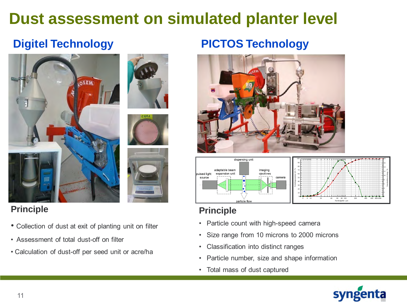# **Dust assessment on simulated planter level**

### **Digitel Technology**



#### **Principle**

- Collection of dust at exit of planting unit on filter
- Assessment of total dust-off on filter
- Calculation of dust-off per seed unit or acre/ha

### **PICTOS Technology**





#### **Principle**

- Particle count with high-speed camera
- Size range from 10 microns to 2000 microns
- Classification into distinct ranges
- Particle number, size and shape information
- Total mass of dust captured



Standardabweichung / %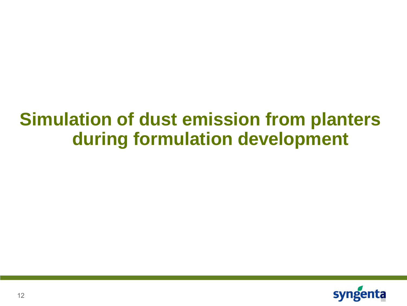# **Simulation of dust emission from planters during formulation development**

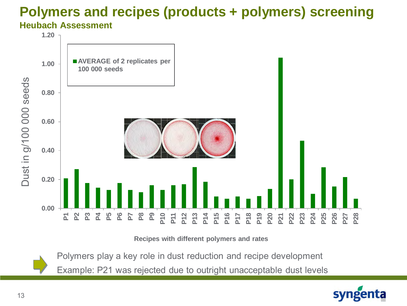### **Polymers and recipes (products + polymers) screening Heubach Assessment**



**Recipes with different polymers and rates**

Polymers play a key role in dust reduction and recipe development

Example: P21 was rejected due to outright unacceptable dust levels

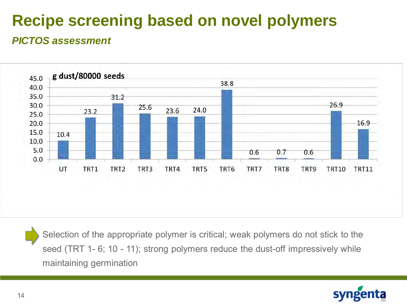# **Recipe screening based on novel polymers**

#### *PICTOS assessment*



Selection of the appropriate polymer is critical; weak polymers do not stick to the seed (TRT 1- 6; 10 - 11); strong polymers reduce the dust-off impressively while maintaining germination

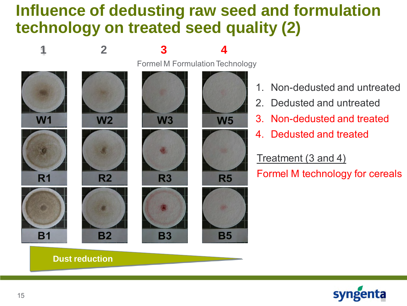## **Influence of dedusting raw seed and formulation technology on treated seed quality (2)**



- 1. Non-dedusted and untreated
- 2. Dedusted and untreated
- 3. Non-dedusted and treated
- 4. Dedusted and treated

Treatment (3 and 4)

Formel M technology for cereals



**Dust reduction**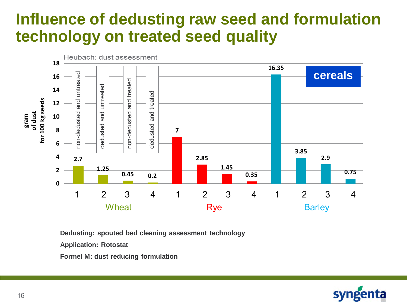## **Influence of dedusting raw seed and formulation technology on treated seed quality**



**Dedusting: spouted bed cleaning assessment technology**

**Application: Rotostat**

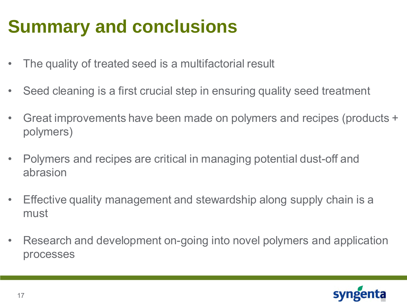# **Summary and conclusions**

- The quality of treated seed is a multifactorial result
- Seed cleaning is a first crucial step in ensuring quality seed treatment
- Great improvements have been made on polymers and recipes (products + polymers)
- Polymers and recipes are critical in managing potential dust-off and abrasion
- Effective quality management and stewardship along supply chain is a must
- Research and development on-going into novel polymers and application processes

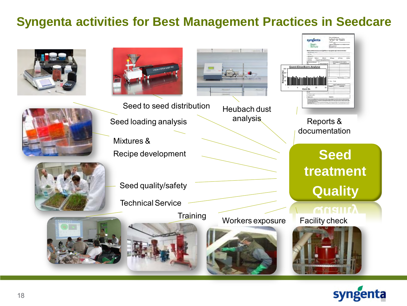### **Syngenta activities for Best Management Practices in Seedcare**









Heubach dust analysis

Mixtures & Recipe development



Seed quality/safety

Technical Service





Reports & documentation

> **Seed treatment Quality**







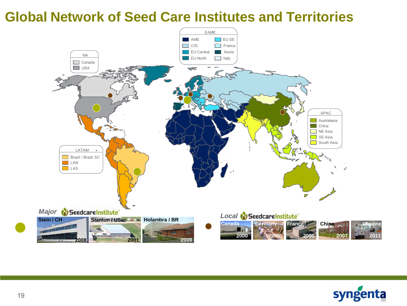### **Global Network of Seed Care Institutes and Territories**